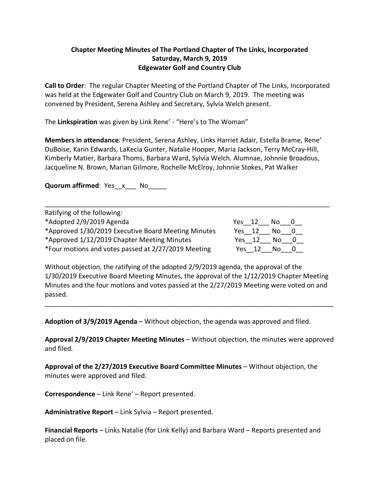## **Chapter Meeting Minutes of The Portland Chapter of The Links, Incorporated Saturday, March 9, 2019 Edgewater Golf and Country Club**

**Call to Order**: The regular Chapter Meeting of the Portland Chapter of The Links, Incorporated was held at the Edgewater Golf and Country Club on March 9, 2019. The meeting was convened by President, Serena Ashley and Secretary, Sylvia Welch present.

The **Linkspiration** was given by Link Rene' - "Here's to The Woman"

**Members in attendance**: President, Serena Ashley, Links Harriet Adair, Estella Brame, Rene' DuBoise, Karin Edwards, LaKecia Gunter, Natalie Hooper, Maria Jackson, Terry McCray-Hill, Kimberly Matier, Barbara Thoms, Barbara Ward, Sylvia Welch. Alumnae, Johnnie Broadous, Jacqueline N. Brown, Marian Gilmore, Rochelle McElroy, Johnnie Stokes, Pat Walker

**Quorum affirmed**: Yes\_x\_\_\_ No

| Ratifying of the following:                         |          |     |  |
|-----------------------------------------------------|----------|-----|--|
| *Adopted 2/9/2019 Agenda                            | Yes $12$ | No. |  |
| *Approved 1/30/2019 Executive Board Meeting Minutes | Yes 12   | No. |  |
| *Approved 1/12/2019 Chapter Meeting Minutes         | Yes 12   | No. |  |
| *Four motions and votes passed at 2/27/2019 Meeting | Yes 12   | Nο  |  |

\_\_\_\_\_\_\_\_\_\_\_\_\_\_\_\_\_\_\_\_\_\_\_\_\_\_\_\_\_\_\_\_\_\_\_\_\_\_\_\_\_\_\_\_\_\_\_\_\_\_\_\_\_\_\_\_\_\_\_\_\_\_\_\_\_\_\_\_\_\_\_\_\_\_\_\_\_

Without objection, the ratifying of the adopted 2/9/2019 agenda, the approval of the 1/30/2019 Executive Board Meeting Minutes, the approval of the 1/12/2019 Chapter Meeting Minutes and the four motions and votes passed at the 2/27/2019 Meeting were voted on and passed.

\_\_\_\_\_\_\_\_\_\_\_\_\_\_\_\_\_\_\_\_\_\_\_\_\_\_\_\_\_\_\_\_\_\_\_\_\_\_\_\_\_\_\_\_\_\_\_\_\_\_\_\_\_\_\_\_\_\_\_\_\_\_\_\_\_\_\_\_\_\_\_\_\_\_\_\_\_\_

**Adoption of 3/9/2019 Agenda** – Without objection, the agenda was approved and filed.

**Approval 2/9/2019 Chapter Meeting Minutes** – Without objection, the minutes were approved and filed.

**Approval of the 2/27/2019 Executive Board Committee Minutes** – Without objection, the minutes were approved and filed.

**Correspondence** – Link Rene' – Report presented.

**Administrative Report** – Link Sylvia – Report presented.

**Financial Reports** – Links Natalie (for Link Kelly) and Barbara Ward – Reports presented and placed on file.